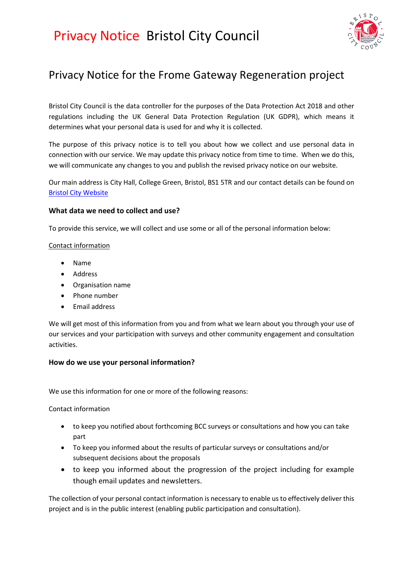

### Privacy Notice for the Frome Gateway Regeneration project

Bristol City Council is the data controller for the purposes of the Data Protection Act 2018 and other regulations including the UK General Data Protection Regulation (UK GDPR), which means it determines what your personal data is used for and why it is collected.

The purpose of this privacy notice is to tell you about how we collect and use personal data in connection with our service. We may update this privacy notice from time to time. When we do this, we will communicate any changes to you and publish the revised privacy notice on our website.

Our main address is City Hall, College Green, Bristol, BS1 5TR and our contact details can be found on [Bristol City Website](https://www.bristol.gov.uk/contact)

#### **What data we need to collect and use?**

To provide this service, we will collect and use some or all of the personal information below:

#### Contact information

- Name
- Address
- Organisation name
- Phone number
- Email address

We will get most of this information from you and from what we learn about you through your use of our services and your participation with surveys and other community engagement and consultation activities.

#### **How do we use your personal information?**

We use this information for one or more of the following reasons:

Contact information

- to keep you notified about forthcoming BCC surveys or consultations and how you can take part
- To keep you informed about the results of particular surveys or consultations and/or subsequent decisions about the proposals
- to keep you informed about the progression of the project including for example though email updates and newsletters.

The collection of your personal contact information is necessary to enable us to effectively deliver this project and is in the public interest (enabling public participation and consultation).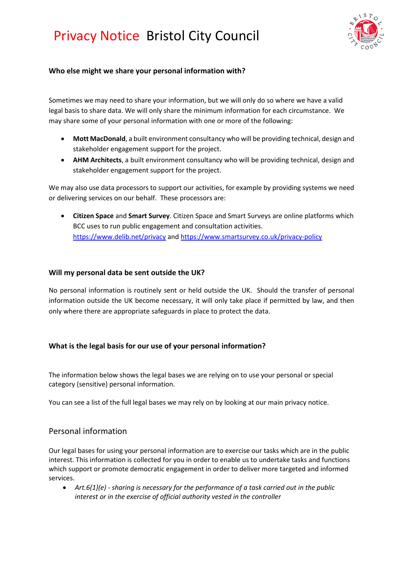

#### **Who else might we share your personal information with?**

Sometimes we may need to share your information, but we will only do so where we have a valid legal basis to share data. We will only share the minimum information for each circumstance. We may share some of your personal information with one or more of the following:

- **Mott MacDonald**, a built environment consultancy who will be providing technical, design and stakeholder engagement support for the project.
- **AHM Architects**, a built environment consultancy who will be providing technical, design and stakeholder engagement support for the project.

We may also use data processors to support our activities, for example by providing systems we need or delivering services on our behalf. These processors are:

• **Citizen Space** and **Smart Survey**. Citizen Space and Smart Surveys are online platforms which BCC uses to run public engagement and consultation activities. <https://www.delib.net/privacy> and<https://www.smartsurvey.co.uk/privacy-policy>

#### **Will my personal data be sent outside the UK?**

No personal information is routinely sent or held outside the UK. Should the transfer of personal information outside the UK become necessary, it will only take place if permitted by law, and then only where there are appropriate safeguards in place to protect the data.

#### **What is the legal basis for our use of your personal information?**

The information below shows the legal bases we are relying on to use your personal or special category (sensitive) personal information.

You can see a list of the full legal bases we may rely on by looking at our [main privacy notice.](https://www.bristol.gov.uk/about-our-website/privacy)

#### Personal information

Our legal bases for using your personal information are to exercise our tasks which are in the public interest. This information is collected for you in order to enable us to undertake tasks and functions which support or promote democratic engagement in order to deliver more targeted and informed services.

• *Art.6(1)(e) - sharing is necessary for the performance of a task carried out in the public interest or in the exercise of official authority vested in the controller*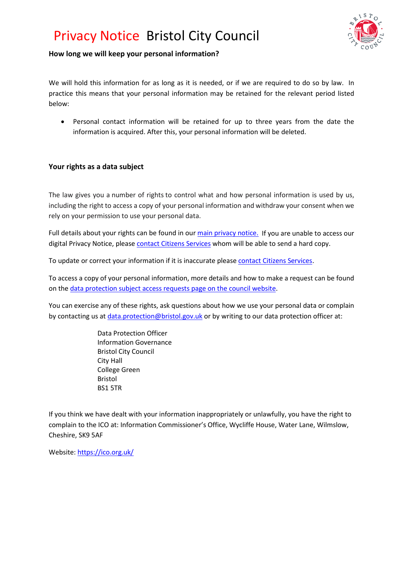

#### **How long we will keep your personal information?**

We will hold this information for as long as it is needed, or if we are required to do so by law. In practice this means that your personal information may be retained for the relevant period listed below:

Personal contact information will be retained for up to three years from the date the information is acquired. After this, your personal information will be deleted.

#### **Your rights as a data subject**

The law gives you a number of rights to control what and how personal information is used by us, including the right to access a copy of your personal information and withdraw your consent when we rely on your permission to use your personal data.

Full details about your rights can be found in ou[r main privacy notice.](https://www.bristol.gov.uk/about-our-website/privacy) If you are unable to access our digital Privacy Notice, please [contact Citizens Services](https://www.bristol.gov.uk/contact) whom will be able to send a hard copy.

To update or correct your information if it is inaccurate please [contact Citizens Services.](https://www.bristol.gov.uk/contact)

To access a copy of your personal information, more details and how to make a request can be found on th[e data protection subject access requests page on the council website.](https://www.bristol.gov.uk/data-protection-foi/data-protection-subject-access-requests)

You can exercise any of these rights, ask questions about how we use your personal data or complain by contacting us at [data.protection@bristol.gov.uk](mailto:data.protection@bristol.gov.uk) or by writing to our data protection officer at:

> Data Protection Officer Information Governance Bristol City Council City Hall College Green Bristol BS1 5TR

If you think we have dealt with your information inappropriately or unlawfully, you have the right to complain to the ICO at: Information Commissioner's Office, Wycliffe House, Water Lane, Wilmslow, Cheshire, SK9 5AF

Website[: https://ico.org.uk/](https://ico.org.uk/)